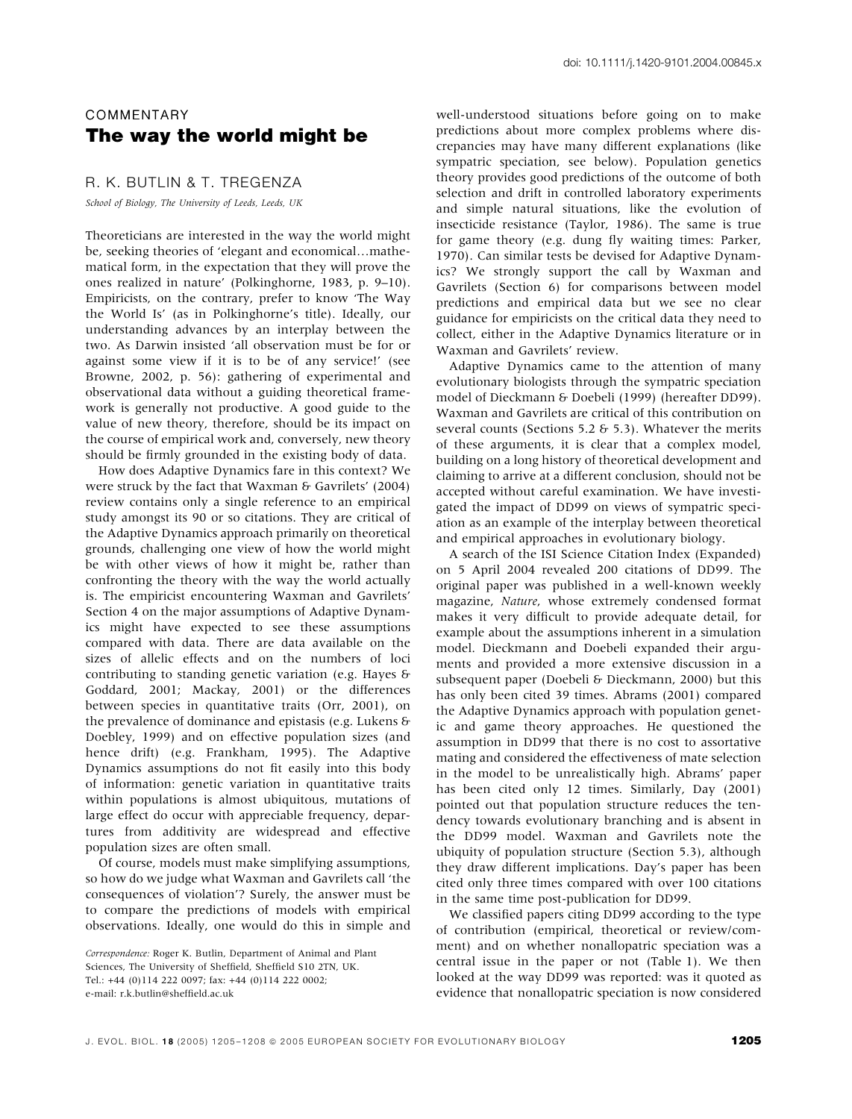## **COMMENTARY** The way the world might be

## R. K. BUTLIN & T. TREGENZA

School of Biology, The University of Leeds, Leeds, UK

Theoreticians are interested in the way the world might be, seeking theories of 'elegant and economical…mathematical form, in the expectation that they will prove the ones realized in nature' (Polkinghorne, 1983, p. 9–10). Empiricists, on the contrary, prefer to know 'The Way the World Is' (as in Polkinghorne's title). Ideally, our understanding advances by an interplay between the two. As Darwin insisted 'all observation must be for or against some view if it is to be of any service!' (see Browne, 2002, p. 56): gathering of experimental and observational data without a guiding theoretical framework is generally not productive. A good guide to the value of new theory, therefore, should be its impact on the course of empirical work and, conversely, new theory should be firmly grounded in the existing body of data.

How does Adaptive Dynamics fare in this context? We were struck by the fact that Waxman & Gavrilets' (2004) review contains only a single reference to an empirical study amongst its 90 or so citations. They are critical of the Adaptive Dynamics approach primarily on theoretical grounds, challenging one view of how the world might be with other views of how it might be, rather than confronting the theory with the way the world actually is. The empiricist encountering Waxman and Gavrilets' Section 4 on the major assumptions of Adaptive Dynamics might have expected to see these assumptions compared with data. There are data available on the sizes of allelic effects and on the numbers of loci contributing to standing genetic variation (e.g. Hayes & Goddard, 2001; Mackay, 2001) or the differences between species in quantitative traits (Orr, 2001), on the prevalence of dominance and epistasis (e.g. Lukens & Doebley, 1999) and on effective population sizes (and hence drift) (e.g. Frankham, 1995). The Adaptive Dynamics assumptions do not fit easily into this body of information: genetic variation in quantitative traits within populations is almost ubiquitous, mutations of large effect do occur with appreciable frequency, departures from additivity are widespread and effective population sizes are often small.

Of course, models must make simplifying assumptions, so how do we judge what Waxman and Gavrilets call 'the consequences of violation'? Surely, the answer must be to compare the predictions of models with empirical observations. Ideally, one would do this in simple and

well-understood situations before going on to make predictions about more complex problems where discrepancies may have many different explanations (like sympatric speciation, see below). Population genetics theory provides good predictions of the outcome of both selection and drift in controlled laboratory experiments and simple natural situations, like the evolution of insecticide resistance (Taylor, 1986). The same is true for game theory (e.g. dung fly waiting times: Parker, 1970). Can similar tests be devised for Adaptive Dynamics? We strongly support the call by Waxman and Gavrilets (Section 6) for comparisons between model predictions and empirical data but we see no clear guidance for empiricists on the critical data they need to collect, either in the Adaptive Dynamics literature or in Waxman and Gavrilets' review.

Adaptive Dynamics came to the attention of many evolutionary biologists through the sympatric speciation model of Dieckmann & Doebeli (1999) (hereafter DD99). Waxman and Gavrilets are critical of this contribution on several counts (Sections 5.2 & 5.3). Whatever the merits of these arguments, it is clear that a complex model, building on a long history of theoretical development and claiming to arrive at a different conclusion, should not be accepted without careful examination. We have investigated the impact of DD99 on views of sympatric speciation as an example of the interplay between theoretical and empirical approaches in evolutionary biology.

A search of the ISI Science Citation Index (Expanded) on 5 April 2004 revealed 200 citations of DD99. The original paper was published in a well-known weekly magazine, Nature, whose extremely condensed format makes it very difficult to provide adequate detail, for example about the assumptions inherent in a simulation model. Dieckmann and Doebeli expanded their arguments and provided a more extensive discussion in a subsequent paper (Doebeli & Dieckmann, 2000) but this has only been cited 39 times. Abrams (2001) compared the Adaptive Dynamics approach with population genetic and game theory approaches. He questioned the assumption in DD99 that there is no cost to assortative mating and considered the effectiveness of mate selection in the model to be unrealistically high. Abrams' paper has been cited only 12 times. Similarly, Day (2001) pointed out that population structure reduces the tendency towards evolutionary branching and is absent in the DD99 model. Waxman and Gavrilets note the ubiquity of population structure (Section 5.3), although they draw different implications. Day's paper has been cited only three times compared with over 100 citations in the same time post-publication for DD99.

We classified papers citing DD99 according to the type of contribution (empirical, theoretical or review/comment) and on whether nonallopatric speciation was a central issue in the paper or not (Table 1). We then looked at the way DD99 was reported: was it quoted as evidence that nonallopatric speciation is now considered

Correspondence: Roger K. Butlin, Department of Animal and Plant Sciences, The University of Sheffield, Sheffield S10 2TN, UK. Tel.: +44 (0)114 222 0097; fax: +44 (0)114 222 0002; e-mail: r.k.butlin@sheffield.ac.uk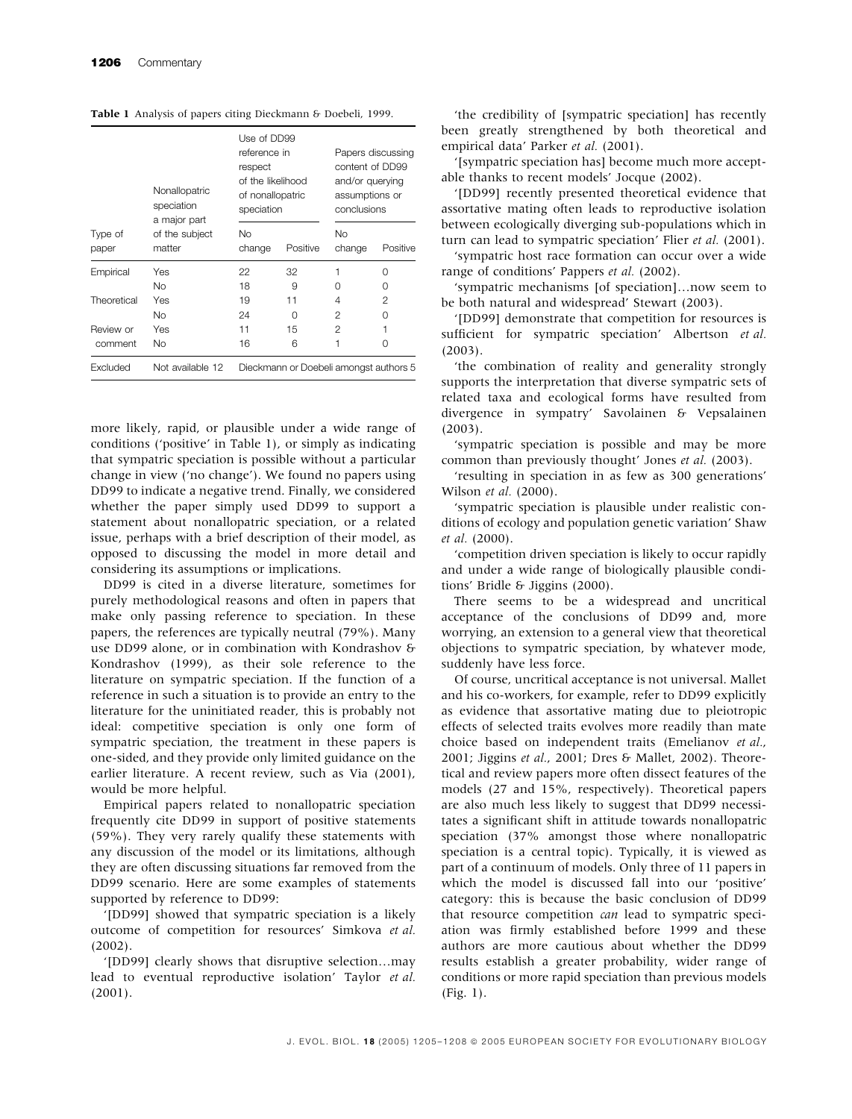Table 1 Analysis of papers citing Dieckmann & Doebeli, 1999.

|                      | Nonallopatric<br>speciation<br>a major part<br>of the subject<br>matter | Use of DD99<br>reference in<br>respect<br>of the likelihood<br>of nonallopatric<br>speciation |          | Papers discussing<br>content of DD99<br>and/or querying<br>assumptions or<br>conclusions |          |
|----------------------|-------------------------------------------------------------------------|-----------------------------------------------------------------------------------------------|----------|------------------------------------------------------------------------------------------|----------|
| Type of<br>paper     |                                                                         | <b>No</b><br>change                                                                           | Positive | No<br>change                                                                             | Positive |
| Empirical            | Yes                                                                     | 22                                                                                            | 32       |                                                                                          | Ω        |
|                      | No                                                                      | 18                                                                                            | 9        | Ω                                                                                        | Ω        |
| Theoretical          | Yes                                                                     | 19                                                                                            | 11       | 4                                                                                        | 2        |
|                      | No                                                                      | 24                                                                                            | Ω        | 2                                                                                        | ∩        |
| Review or<br>comment | Yes                                                                     | 11                                                                                            | 15       | 2                                                                                        |          |
|                      | No                                                                      | 16                                                                                            | 6        |                                                                                          | 0        |
| <b>Excluded</b>      | Not available 12                                                        | Dieckmann or Doebeli amongst authors 5                                                        |          |                                                                                          |          |

more likely, rapid, or plausible under a wide range of conditions ('positive' in Table 1), or simply as indicating that sympatric speciation is possible without a particular change in view ('no change'). We found no papers using DD99 to indicate a negative trend. Finally, we considered whether the paper simply used DD99 to support a statement about nonallopatric speciation, or a related issue, perhaps with a brief description of their model, as opposed to discussing the model in more detail and considering its assumptions or implications.

DD99 is cited in a diverse literature, sometimes for purely methodological reasons and often in papers that make only passing reference to speciation. In these papers, the references are typically neutral (79%). Many use DD99 alone, or in combination with Kondrashov & Kondrashov (1999), as their sole reference to the literature on sympatric speciation. If the function of a reference in such a situation is to provide an entry to the literature for the uninitiated reader, this is probably not ideal: competitive speciation is only one form of sympatric speciation, the treatment in these papers is one-sided, and they provide only limited guidance on the earlier literature. A recent review, such as Via (2001), would be more helpful.

Empirical papers related to nonallopatric speciation frequently cite DD99 in support of positive statements (59%). They very rarely qualify these statements with any discussion of the model or its limitations, although they are often discussing situations far removed from the DD99 scenario. Here are some examples of statements supported by reference to DD99:

'[DD99] showed that sympatric speciation is a likely outcome of competition for resources' Simkova et al. (2002).

'[DD99] clearly shows that disruptive selection…may lead to eventual reproductive isolation' Taylor et al. (2001).

'the credibility of [sympatric speciation] has recently been greatly strengthened by both theoretical and empirical data' Parker et al. (2001).

'[sympatric speciation has] become much more acceptable thanks to recent models' Jocque (2002).

'[DD99] recently presented theoretical evidence that assortative mating often leads to reproductive isolation between ecologically diverging sub-populations which in turn can lead to sympatric speciation' Flier et al. (2001).

'sympatric host race formation can occur over a wide range of conditions' Pappers et al. (2002).

'sympatric mechanisms [of speciation]…now seem to be both natural and widespread' Stewart (2003).

'[DD99] demonstrate that competition for resources is sufficient for sympatric speciation' Albertson et al. (2003).

'the combination of reality and generality strongly supports the interpretation that diverse sympatric sets of related taxa and ecological forms have resulted from divergence in sympatry' Savolainen & Vepsalainen (2003).

'sympatric speciation is possible and may be more common than previously thought' Jones et al. (2003).

'resulting in speciation in as few as 300 generations' Wilson et al. (2000).

'sympatric speciation is plausible under realistic conditions of ecology and population genetic variation' Shaw et al. (2000).

'competition driven speciation is likely to occur rapidly and under a wide range of biologically plausible conditions' Bridle & Jiggins (2000).

There seems to be a widespread and uncritical acceptance of the conclusions of DD99 and, more worrying, an extension to a general view that theoretical objections to sympatric speciation, by whatever mode, suddenly have less force.

Of course, uncritical acceptance is not universal. Mallet and his co-workers, for example, refer to DD99 explicitly as evidence that assortative mating due to pleiotropic effects of selected traits evolves more readily than mate choice based on independent traits (Emelianov et al., 2001; Jiggins et al., 2001; Dres & Mallet, 2002). Theoretical and review papers more often dissect features of the models (27 and 15%, respectively). Theoretical papers are also much less likely to suggest that DD99 necessitates a significant shift in attitude towards nonallopatric speciation (37% amongst those where nonallopatric speciation is a central topic). Typically, it is viewed as part of a continuum of models. Only three of 11 papers in which the model is discussed fall into our 'positive' category: this is because the basic conclusion of DD99 that resource competition can lead to sympatric speciation was firmly established before 1999 and these authors are more cautious about whether the DD99 results establish a greater probability, wider range of conditions or more rapid speciation than previous models (Fig. 1).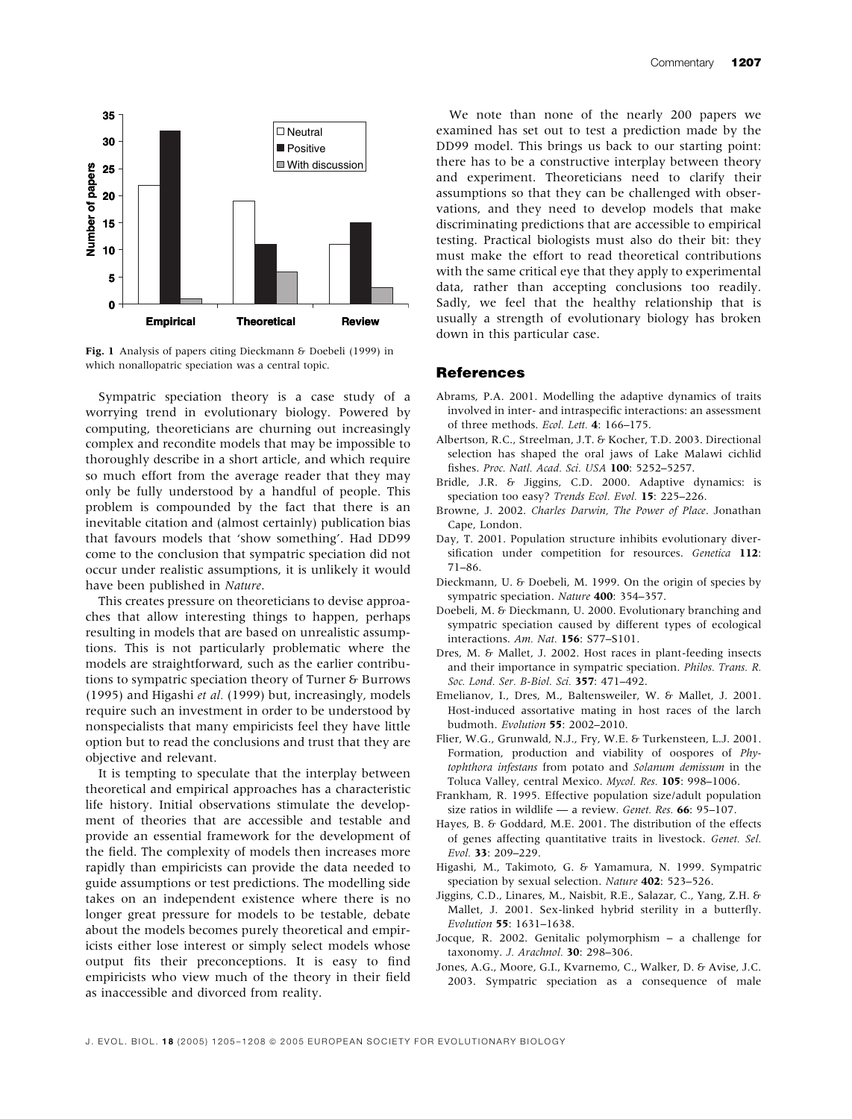

Fig. 1 Analysis of papers citing Dieckmann & Doebeli (1999) in which nonallopatric speciation was a central topic.

Sympatric speciation theory is a case study of a worrying trend in evolutionary biology. Powered by computing, theoreticians are churning out increasingly complex and recondite models that may be impossible to thoroughly describe in a short article, and which require so much effort from the average reader that they may only be fully understood by a handful of people. This problem is compounded by the fact that there is an inevitable citation and (almost certainly) publication bias that favours models that 'show something'. Had DD99 come to the conclusion that sympatric speciation did not occur under realistic assumptions, it is unlikely it would have been published in Nature.

This creates pressure on theoreticians to devise approaches that allow interesting things to happen, perhaps resulting in models that are based on unrealistic assumptions. This is not particularly problematic where the models are straightforward, such as the earlier contributions to sympatric speciation theory of Turner & Burrows (1995) and Higashi et al. (1999) but, increasingly, models require such an investment in order to be understood by nonspecialists that many empiricists feel they have little option but to read the conclusions and trust that they are objective and relevant.

It is tempting to speculate that the interplay between theoretical and empirical approaches has a characteristic life history. Initial observations stimulate the development of theories that are accessible and testable and provide an essential framework for the development of the field. The complexity of models then increases more rapidly than empiricists can provide the data needed to guide assumptions or test predictions. The modelling side takes on an independent existence where there is no longer great pressure for models to be testable, debate about the models becomes purely theoretical and empiricists either lose interest or simply select models whose output fits their preconceptions. It is easy to find empiricists who view much of the theory in their field as inaccessible and divorced from reality.

We note than none of the nearly 200 papers we examined has set out to test a prediction made by the DD99 model. This brings us back to our starting point: there has to be a constructive interplay between theory and experiment. Theoreticians need to clarify their assumptions so that they can be challenged with observations, and they need to develop models that make discriminating predictions that are accessible to empirical testing. Practical biologists must also do their bit: they must make the effort to read theoretical contributions with the same critical eye that they apply to experimental data, rather than accepting conclusions too readily. Sadly, we feel that the healthy relationship that is usually a strength of evolutionary biology has broken down in this particular case.

## **References**

- Abrams, P.A. 2001. Modelling the adaptive dynamics of traits involved in inter- and intraspecific interactions: an assessment of three methods. Ecol. Lett. 4: 166–175.
- Albertson, R.C., Streelman, J.T. & Kocher, T.D. 2003. Directional selection has shaped the oral jaws of Lake Malawi cichlid fishes. Proc. Natl. Acad. Sci. USA 100: 5252–5257.
- Bridle, J.R. & Jiggins, C.D. 2000. Adaptive dynamics: is speciation too easy? Trends Ecol. Evol. 15: 225–226.
- Browne, J. 2002. Charles Darwin, The Power of Place. Jonathan Cape, London.
- Day, T. 2001. Population structure inhibits evolutionary diversification under competition for resources. Genetica 112: 71–86.
- Dieckmann, U. & Doebeli, M. 1999. On the origin of species by sympatric speciation. Nature 400: 354-357.
- Doebeli, M. & Dieckmann, U. 2000. Evolutionary branching and sympatric speciation caused by different types of ecological interactions. Am. Nat. 156: S77–S101.
- Dres, M. & Mallet, J. 2002. Host races in plant-feeding insects and their importance in sympatric speciation. Philos. Trans. R. Soc. Lond. Ser. B-Biol. Sci. 357: 471-492.
- Emelianov, I., Dres, M., Baltensweiler, W. & Mallet, J. 2001. Host-induced assortative mating in host races of the larch budmoth. Evolution 55: 2002–2010.
- Flier, W.G., Grunwald, N.J., Fry, W.E. & Turkensteen, L.J. 2001. Formation, production and viability of oospores of Phytophthora infestans from potato and Solanum demissum in the Toluca Valley, central Mexico. Mycol. Res. 105: 998–1006.
- Frankham, R. 1995. Effective population size/adult population size ratios in wildlife — a review. Genet. Res. 66: 95-107.
- Hayes, B. & Goddard, M.E. 2001. The distribution of the effects of genes affecting quantitative traits in livestock. Genet. Sel. Evol. 33: 209–229.
- Higashi, M., Takimoto, G. & Yamamura, N. 1999. Sympatric speciation by sexual selection. Nature 402: 523-526.
- Jiggins, C.D., Linares, M., Naisbit, R.E., Salazar, C., Yang, Z.H. & Mallet, J. 2001. Sex-linked hybrid sterility in a butterfly. Evolution 55: 1631–1638.
- Jocque, R. 2002. Genitalic polymorphism a challenge for taxonomy. J. Arachnol. 30: 298–306.
- Jones, A.G., Moore, G.I., Kvarnemo, C., Walker, D. & Avise, J.C. 2003. Sympatric speciation as a consequence of male